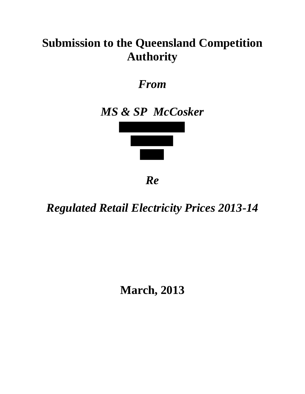## **Submission to the Queensland Competition Authority**

*From* 

## *MS & SP McCosker*



*Re*

*Regulated Retail Electricity Prices 2013-14*

**March, 2013**